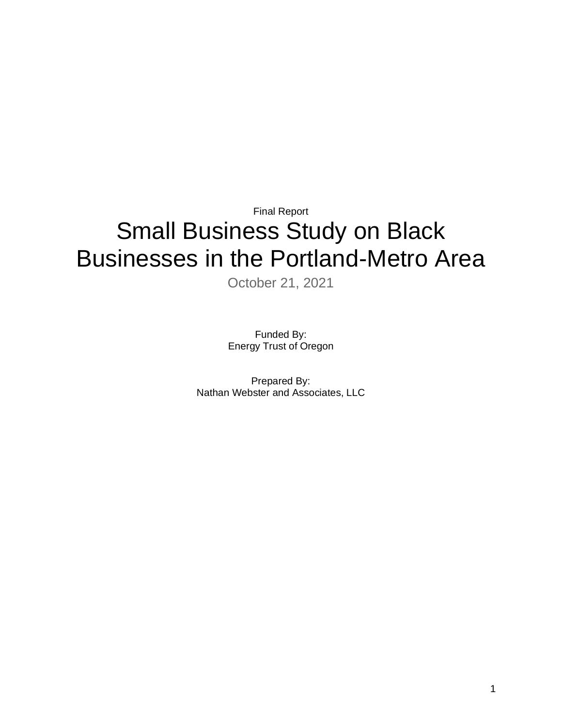# Final Report Small Business Study on Black Businesses in the Portland-Metro Area

October 21, 2021

Funded By: Energy Trust of Oregon

Prepared By: Nathan Webster and Associates, LLC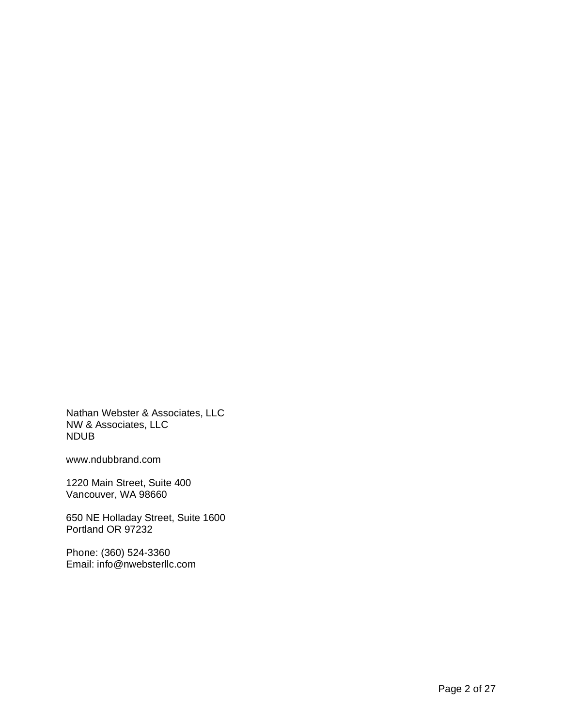Nathan Webster & Associates, LLC NW & Associates, LLC NDUB

www.ndubbrand.com

1220 Main Street, Suite 400 Vancouver, WA 98660

650 NE Holladay Street, Suite 1600 Portland OR 97232

Phone: (360) 524-3360 Email: info@nwebsterllc.com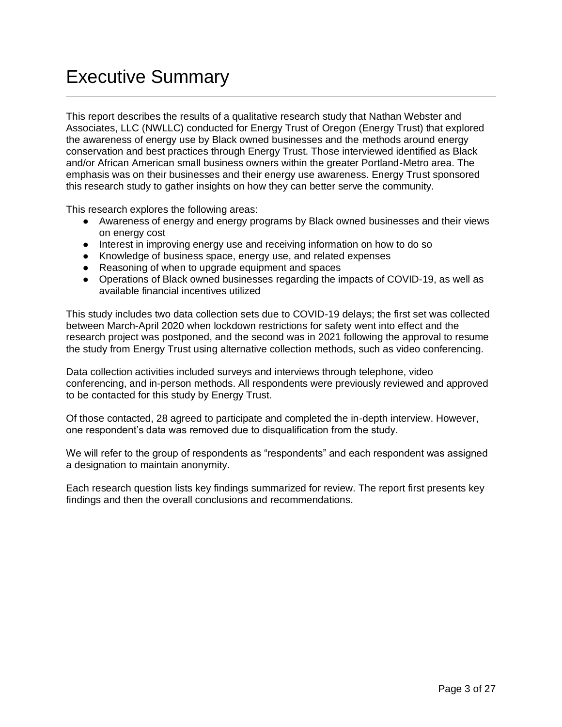# Executive Summary

This report describes the results of a qualitative research study that Nathan Webster and Associates, LLC (NWLLC) conducted for Energy Trust of Oregon (Energy Trust) that explored the awareness of energy use by Black owned businesses and the methods around energy conservation and best practices through Energy Trust. Those interviewed identified as Black and/or African American small business owners within the greater Portland-Metro area. The emphasis was on their businesses and their energy use awareness. Energy Trust sponsored this research study to gather insights on how they can better serve the community.

This research explores the following areas:

- Awareness of energy and energy programs by Black owned businesses and their views on energy cost
- Interest in improving energy use and receiving information on how to do so
- Knowledge of business space, energy use, and related expenses
- Reasoning of when to upgrade equipment and spaces
- Operations of Black owned businesses regarding the impacts of COVID-19, as well as available financial incentives utilized

This study includes two data collection sets due to COVID-19 delays; the first set was collected between March-April 2020 when lockdown restrictions for safety went into effect and the research project was postponed, and the second was in 2021 following the approval to resume the study from Energy Trust using alternative collection methods, such as video conferencing.

Data collection activities included surveys and interviews through telephone, video conferencing, and in-person methods. All respondents were previously reviewed and approved to be contacted for this study by Energy Trust.

Of those contacted, 28 agreed to participate and completed the in-depth interview. However, one respondent's data was removed due to disqualification from the study.

We will refer to the group of respondents as "respondents" and each respondent was assigned a designation to maintain anonymity.

Each research question lists key findings summarized for review. The report first presents key findings and then the overall conclusions and recommendations.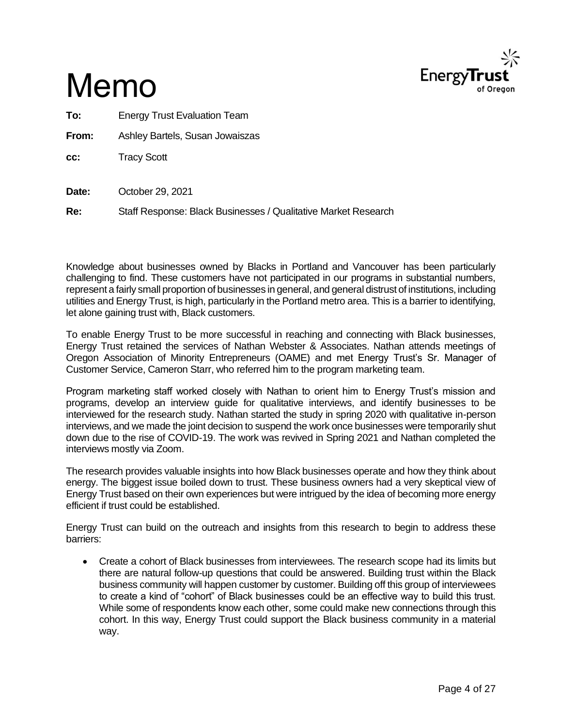

# Memo

**To:** Energy Trust Evaluation Team

**From:** Ashley Bartels, Susan Jowaiszas

**cc:** Tracy Scott

**Date:** October 29, 2021

**Re:** Staff Response: Black Businesses / Qualitative Market Research

Knowledge about businesses owned by Blacks in Portland and Vancouver has been particularly challenging to find. These customers have not participated in our programs in substantial numbers, represent a fairly small proportion of businesses in general, and general distrust of institutions, including utilities and Energy Trust, is high, particularly in the Portland metro area. This is a barrier to identifying, let alone gaining trust with, Black customers.

To enable Energy Trust to be more successful in reaching and connecting with Black businesses, Energy Trust retained the services of Nathan Webster & Associates. Nathan attends meetings of Oregon Association of Minority Entrepreneurs (OAME) and met Energy Trust's Sr. Manager of Customer Service, Cameron Starr, who referred him to the program marketing team.

Program marketing staff worked closely with Nathan to orient him to Energy Trust's mission and programs, develop an interview guide for qualitative interviews, and identify businesses to be interviewed for the research study. Nathan started the study in spring 2020 with qualitative in-person interviews, and we made the joint decision to suspend the work once businesses were temporarily shut down due to the rise of COVID-19. The work was revived in Spring 2021 and Nathan completed the interviews mostly via Zoom.

The research provides valuable insights into how Black businesses operate and how they think about energy. The biggest issue boiled down to trust. These business owners had a very skeptical view of Energy Trust based on their own experiences but were intrigued by the idea of becoming more energy efficient if trust could be established.

Energy Trust can build on the outreach and insights from this research to begin to address these barriers:

• Create a cohort of Black businesses from interviewees. The research scope had its limits but there are natural follow-up questions that could be answered. Building trust within the Black business community will happen customer by customer. Building off this group of interviewees to create a kind of "cohort" of Black businesses could be an effective way to build this trust. While some of respondents know each other, some could make new connections through this cohort. In this way, Energy Trust could support the Black business community in a material way.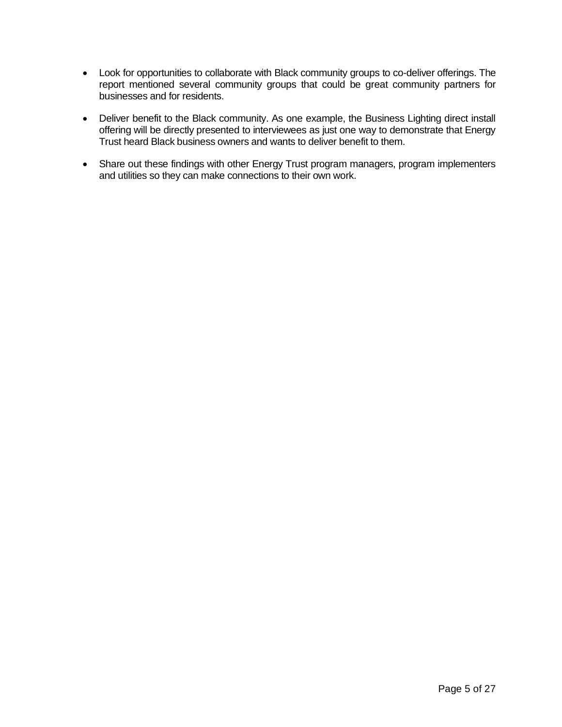- Look for opportunities to collaborate with Black community groups to co-deliver offerings. The report mentioned several community groups that could be great community partners for businesses and for residents.
- Deliver benefit to the Black community. As one example, the Business Lighting direct install offering will be directly presented to interviewees as just one way to demonstrate that Energy Trust heard Black business owners and wants to deliver benefit to them.
- Share out these findings with other Energy Trust program managers, program implementers and utilities so they can make connections to their own work.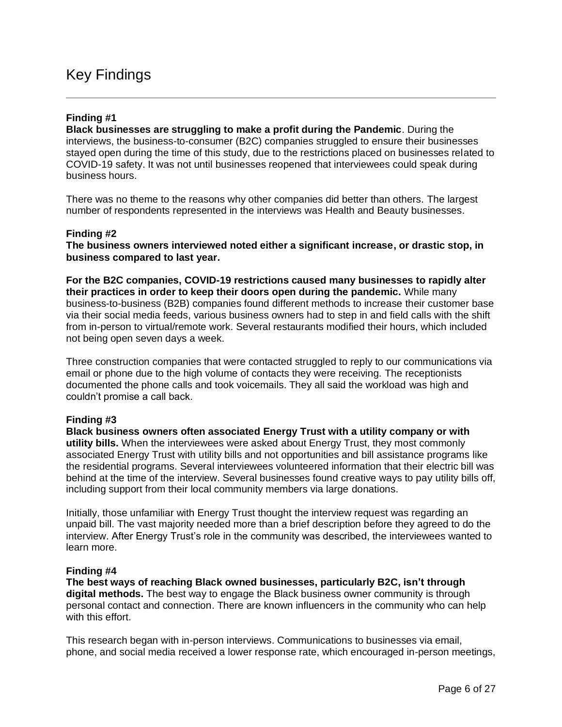### Key Findings

### **Finding #1**

**Black businesses are struggling to make a profit during the Pandemic**. During the interviews, the business-to-consumer (B2C) companies struggled to ensure their businesses stayed open during the time of this study, due to the restrictions placed on businesses related to COVID-19 safety. It was not until businesses reopened that interviewees could speak during business hours.

There was no theme to the reasons why other companies did better than others. The largest number of respondents represented in the interviews was Health and Beauty businesses.

#### **Finding #2**

**The business owners interviewed noted either a significant increase, or drastic stop, in business compared to last year.** 

**For the B2C companies, COVID-19 restrictions caused many businesses to rapidly alter their practices in order to keep their doors open during the pandemic.** While many business-to-business (B2B) companies found different methods to increase their customer base via their social media feeds, various business owners had to step in and field calls with the shift from in-person to virtual/remote work. Several restaurants modified their hours, which included not being open seven days a week.

Three construction companies that were contacted struggled to reply to our communications via email or phone due to the high volume of contacts they were receiving. The receptionists documented the phone calls and took voicemails. They all said the workload was high and couldn't promise a call back.

### **Finding #3**

**Black business owners often associated Energy Trust with a utility company or with utility bills.** When the interviewees were asked about Energy Trust, they most commonly associated Energy Trust with utility bills and not opportunities and bill assistance programs like the residential programs. Several interviewees volunteered information that their electric bill was behind at the time of the interview. Several businesses found creative ways to pay utility bills off, including support from their local community members via large donations.

Initially, those unfamiliar with Energy Trust thought the interview request was regarding an unpaid bill. The vast majority needed more than a brief description before they agreed to do the interview. After Energy Trust's role in the community was described, the interviewees wanted to learn more.

### **Finding #4**

**The best ways of reaching Black owned businesses, particularly B2C, isn't through digital methods.** The best way to engage the Black business owner community is through personal contact and connection. There are known influencers in the community who can help with this effort.

This research began with in-person interviews. Communications to businesses via email, phone, and social media received a lower response rate, which encouraged in-person meetings,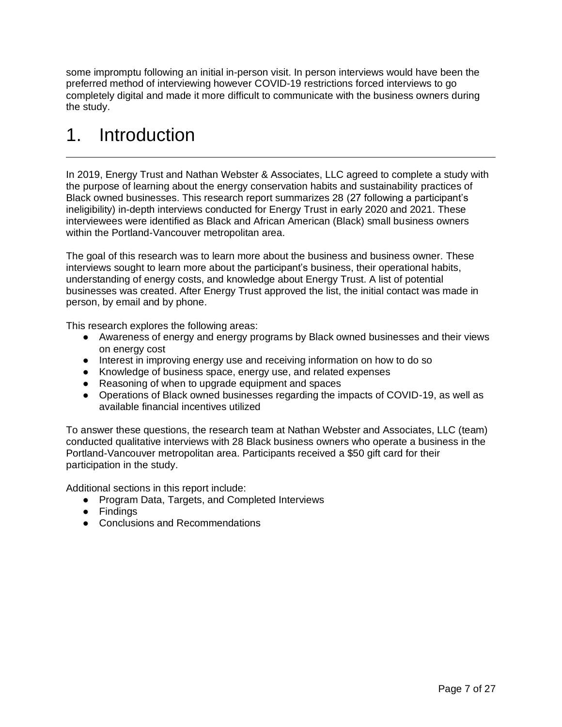some impromptu following an initial in-person visit. In person interviews would have been the preferred method of interviewing however COVID-19 restrictions forced interviews to go completely digital and made it more difficult to communicate with the business owners during the study.

# 1. Introduction

In 2019, Energy Trust and Nathan Webster & Associates, LLC agreed to complete a study with the purpose of learning about the energy conservation habits and sustainability practices of Black owned businesses. This research report summarizes 28 (27 following a participant's ineligibility) in-depth interviews conducted for Energy Trust in early 2020 and 2021. These interviewees were identified as Black and African American (Black) small business owners within the Portland-Vancouver metropolitan area.

The goal of this research was to learn more about the business and business owner. These interviews sought to learn more about the participant's business, their operational habits, understanding of energy costs, and knowledge about Energy Trust. A list of potential businesses was created. After Energy Trust approved the list, the initial contact was made in person, by email and by phone.

This research explores the following areas:

- Awareness of energy and energy programs by Black owned businesses and their views on energy cost
- Interest in improving energy use and receiving information on how to do so
- Knowledge of business space, energy use, and related expenses
- Reasoning of when to upgrade equipment and spaces
- Operations of Black owned businesses regarding the impacts of COVID-19, as well as available financial incentives utilized

To answer these questions, the research team at Nathan Webster and Associates, LLC (team) conducted qualitative interviews with 28 Black business owners who operate a business in the Portland-Vancouver metropolitan area. Participants received a \$50 gift card for their participation in the study.

Additional sections in this report include:

- Program Data, Targets, and Completed Interviews
- Findings
- Conclusions and Recommendations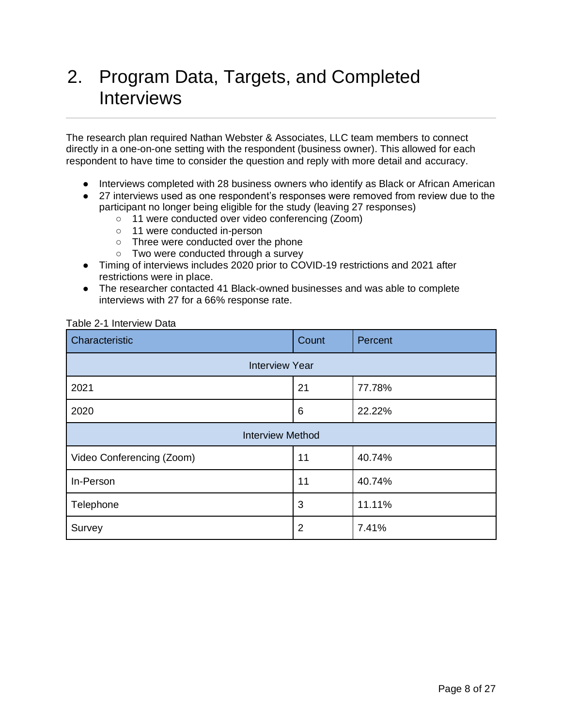# 2. Program Data, Targets, and Completed **Interviews**

The research plan required Nathan Webster & Associates, LLC team members to connect directly in a one-on-one setting with the respondent (business owner). This allowed for each respondent to have time to consider the question and reply with more detail and accuracy.

- Interviews completed with 28 business owners who identify as Black or African American
- 27 interviews used as one respondent's responses were removed from review due to the participant no longer being eligible for the study (leaving 27 responses)
	- 11 were conducted over video conferencing (Zoom)
	- 11 were conducted in-person
	- Three were conducted over the phone
	- Two were conducted through a survey
- Timing of interviews includes 2020 prior to COVID-19 restrictions and 2021 after restrictions were in place.
- The researcher contacted 41 Black-owned businesses and was able to complete interviews with 27 for a 66% response rate.

| Table 2-1 Interview Data |  |  |
|--------------------------|--|--|
|--------------------------|--|--|

| Characteristic            | Count          | Percent |
|---------------------------|----------------|---------|
| <b>Interview Year</b>     |                |         |
| 2021                      | 21             | 77.78%  |
| 2020                      | 6              | 22.22%  |
| <b>Interview Method</b>   |                |         |
| Video Conferencing (Zoom) | 11             | 40.74%  |
| In-Person                 | 11             | 40.74%  |
| Telephone                 | 3              | 11.11%  |
| Survey                    | $\overline{2}$ | 7.41%   |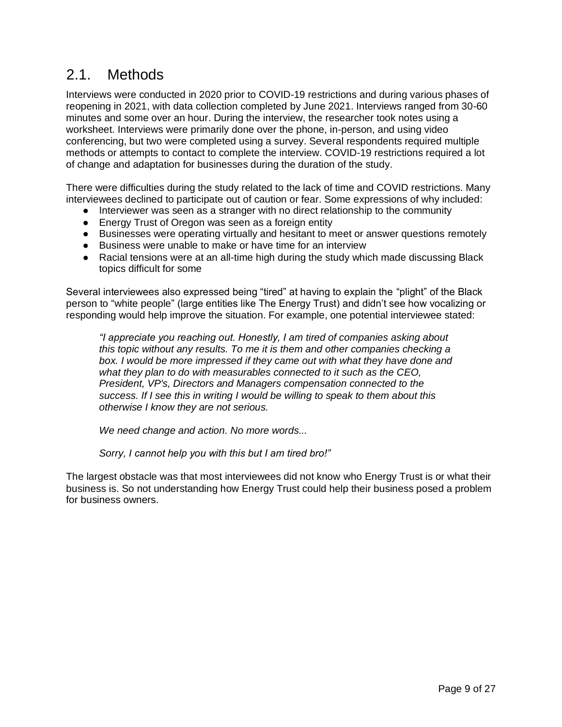## 2.1. Methods

Interviews were conducted in 2020 prior to COVID-19 restrictions and during various phases of reopening in 2021, with data collection completed by June 2021. Interviews ranged from 30-60 minutes and some over an hour. During the interview, the researcher took notes using a worksheet. Interviews were primarily done over the phone, in-person, and using video conferencing, but two were completed using a survey. Several respondents required multiple methods or attempts to contact to complete the interview. COVID-19 restrictions required a lot of change and adaptation for businesses during the duration of the study.

There were difficulties during the study related to the lack of time and COVID restrictions. Many interviewees declined to participate out of caution or fear. Some expressions of why included:

- Interviewer was seen as a stranger with no direct relationship to the community
- Energy Trust of Oregon was seen as a foreign entity
- Businesses were operating virtually and hesitant to meet or answer questions remotely
- Business were unable to make or have time for an interview
- Racial tensions were at an all-time high during the study which made discussing Black topics difficult for some

Several interviewees also expressed being "tired" at having to explain the "plight" of the Black person to "white people" (large entities like The Energy Trust) and didn't see how vocalizing or responding would help improve the situation. For example, one potential interviewee stated:

*"I appreciate you reaching out. Honestly, I am tired of companies asking about this topic without any results. To me it is them and other companies checking a*  box. I would be more impressed if they came out with what they have done and *what they plan to do with measurables connected to it such as the CEO, President, VP's, Directors and Managers compensation connected to the success. If I see this in writing I would be willing to speak to them about this otherwise I know they are not serious.*

*We need change and action. No more words...*

*Sorry, I cannot help you with this but I am tired bro!"*

The largest obstacle was that most interviewees did not know who Energy Trust is or what their business is. So not understanding how Energy Trust could help their business posed a problem for business owners.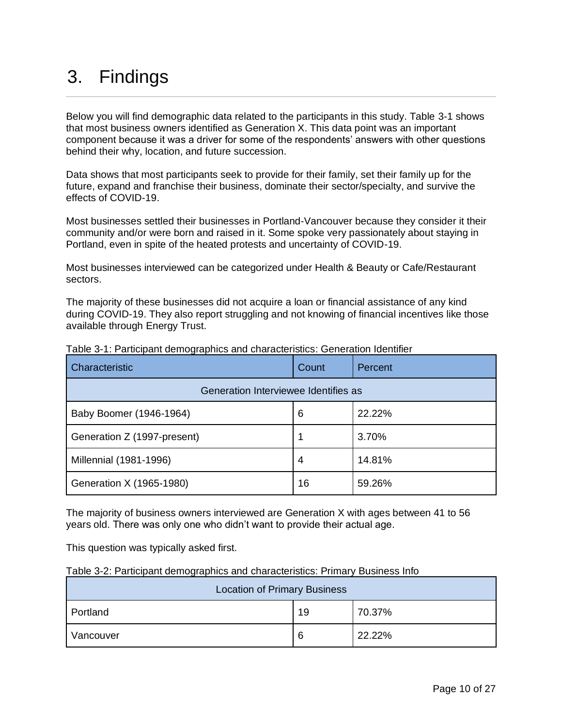# 3. Findings

Below you will find demographic data related to the participants in this study. Table 3-1 shows that most business owners identified as Generation X. This data point was an important component because it was a driver for some of the respondents' answers with other questions behind their why, location, and future succession.

Data shows that most participants seek to provide for their family, set their family up for the future, expand and franchise their business, dominate their sector/specialty, and survive the effects of COVID-19.

Most businesses settled their businesses in Portland-Vancouver because they consider it their community and/or were born and raised in it. Some spoke very passionately about staying in Portland, even in spite of the heated protests and uncertainty of COVID-19.

Most businesses interviewed can be categorized under Health & Beauty or Cafe/Restaurant sectors.

The majority of these businesses did not acquire a loan or financial assistance of any kind during COVID-19. They also report struggling and not knowing of financial incentives like those available through Energy Trust.

| Characteristic                       | Count | Percent |  |
|--------------------------------------|-------|---------|--|
| Generation Interviewee Identifies as |       |         |  |
| Baby Boomer (1946-1964)              | 6     | 22.22%  |  |
| Generation Z (1997-present)          |       | 3.70%   |  |
| Millennial (1981-1996)               | 4     | 14.81%  |  |
| Generation X (1965-1980)             | 16    | 59.26%  |  |

Table 3-1: Participant demographics and characteristics: Generation Identifier

The majority of business owners interviewed are Generation X with ages between 41 to 56 years old. There was only one who didn't want to provide their actual age.

This question was typically asked first.

| Table 3-2: Participant demographics and characteristics: Primary Business Info |  |  |
|--------------------------------------------------------------------------------|--|--|
|                                                                                |  |  |
|                                                                                |  |  |

| <b>Location of Primary Business</b> |   |        |  |
|-------------------------------------|---|--------|--|
| 70.37%<br>Portland<br>19            |   |        |  |
| Vancouver                           | 6 | 22.22% |  |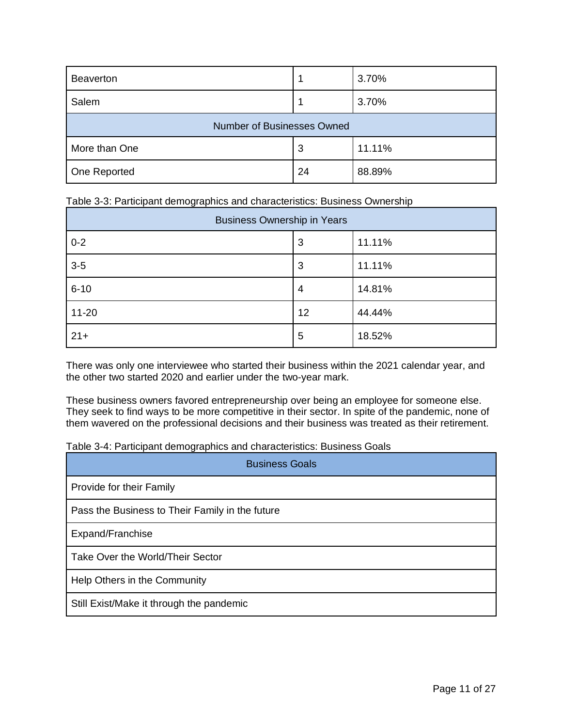| <b>Beaverton</b>           |    | 3.70%  |  |
|----------------------------|----|--------|--|
| Salem                      |    | 3.70%  |  |
| Number of Businesses Owned |    |        |  |
| More than One              | 3  | 11.11% |  |
| One Reported               | 24 | 88.89% |  |

| Table 3-3: Participant demographics and characteristics: Business Ownership |  |  |
|-----------------------------------------------------------------------------|--|--|
|                                                                             |  |  |

| <b>Business Ownership in Years</b> |    |        |  |
|------------------------------------|----|--------|--|
| $0 - 2$                            | 3  | 11.11% |  |
| $3-5$                              | 3  | 11.11% |  |
| $6 - 10$                           | 4  | 14.81% |  |
| $11 - 20$                          | 12 | 44.44% |  |
| $21 +$                             | 5  | 18.52% |  |

There was only one interviewee who started their business within the 2021 calendar year, and the other two started 2020 and earlier under the two-year mark.

These business owners favored entrepreneurship over being an employee for someone else. They seek to find ways to be more competitive in their sector. In spite of the pandemic, none of them wavered on the professional decisions and their business was treated as their retirement.

Table 3-4: Participant demographics and characteristics: Business Goals

| <b>Business Goals</b>                           |  |  |
|-------------------------------------------------|--|--|
| Provide for their Family                        |  |  |
| Pass the Business to Their Family in the future |  |  |
| Expand/Franchise                                |  |  |
| Take Over the World/Their Sector                |  |  |
| Help Others in the Community                    |  |  |
| Still Exist/Make it through the pandemic        |  |  |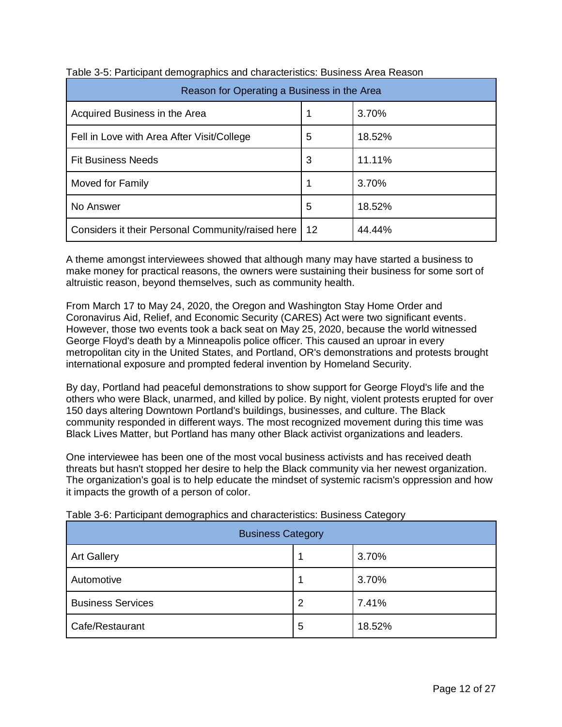| Reason for Operating a Business in the Area       |    |        |  |
|---------------------------------------------------|----|--------|--|
| Acquired Business in the Area                     |    | 3.70%  |  |
| Fell in Love with Area After Visit/College        | 5  | 18.52% |  |
| <b>Fit Business Needs</b>                         | 3  | 11.11% |  |
| Moved for Family                                  | 1  | 3.70%  |  |
| No Answer                                         | 5  | 18.52% |  |
| Considers it their Personal Community/raised here | 12 | 44.44% |  |

|  | Table 3-5: Participant demographics and characteristics: Business Area Reason |
|--|-------------------------------------------------------------------------------|
|  |                                                                               |

A theme amongst interviewees showed that although many may have started a business to make money for practical reasons, the owners were sustaining their business for some sort of altruistic reason, beyond themselves, such as community health.

From March 17 to May 24, 2020, the Oregon and Washington Stay Home Order and Coronavirus Aid, Relief, and Economic Security (CARES) Act were two significant events. However, those two events took a back seat on May 25, 2020, because the world witnessed George Floyd's death by a Minneapolis police officer. This caused an uproar in every metropolitan city in the United States, and Portland, OR's demonstrations and protests brought international exposure and prompted federal invention by Homeland Security.

By day, Portland had peaceful demonstrations to show support for George Floyd's life and the others who were Black, unarmed, and killed by police. By night, violent protests erupted for over 150 days altering Downtown Portland's buildings, businesses, and culture. The Black community responded in different ways. The most recognized movement during this time was Black Lives Matter, but Portland has many other Black activist organizations and leaders.

One interviewee has been one of the most vocal business activists and has received death threats but hasn't stopped her desire to help the Black community via her newest organization. The organization's goal is to help educate the mindset of systemic racism's oppression and how it impacts the growth of a person of color.

| <b>Business Category</b> |   |        |  |
|--------------------------|---|--------|--|
| <b>Art Gallery</b>       |   | 3.70%  |  |
| Automotive               |   | 3.70%  |  |
| <b>Business Services</b> |   | 7.41%  |  |
| Cafe/Restaurant          | 5 | 18.52% |  |

Table 3-6: Participant demographics and characteristics: Business Category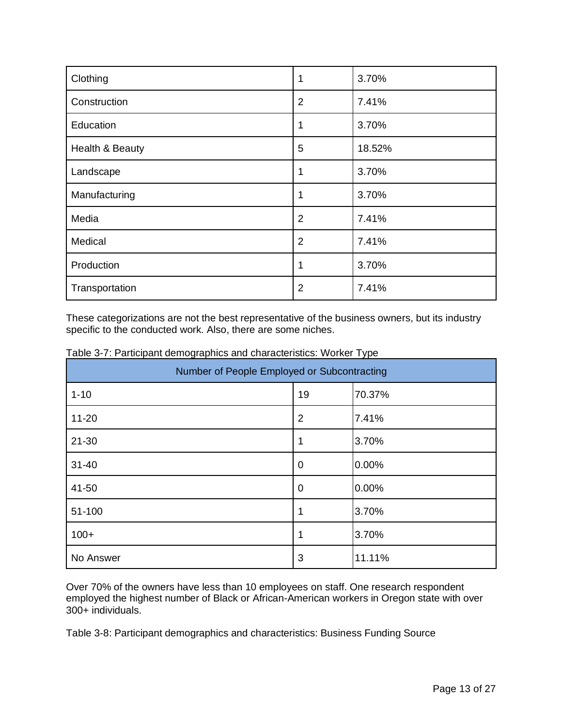| Clothing        | 1              | 3.70%  |
|-----------------|----------------|--------|
| Construction    | $\overline{2}$ | 7.41%  |
| Education       |                | 3.70%  |
| Health & Beauty | 5              | 18.52% |
| Landscape       | 1              | 3.70%  |
| Manufacturing   | 1              | 3.70%  |
| Media           | $\overline{2}$ | 7.41%  |
| Medical         | $\overline{2}$ | 7.41%  |
| Production      | 1              | 3.70%  |
| Transportation  | $\overline{2}$ | 7.41%  |

These categorizations are not the best representative of the business owners, but its industry specific to the conducted work. Also, there are some niches.

| Number of People Employed or Subcontracting |                |        |
|---------------------------------------------|----------------|--------|
| $1 - 10$                                    | 19             | 70.37% |
| $11 - 20$                                   | $\overline{2}$ | 7.41%  |
| $21 - 30$                                   |                | 3.70%  |
| $31 - 40$                                   | 0              | 0.00%  |
| 41-50                                       | 0              | 0.00%  |
| 51-100                                      |                | 3.70%  |
| $100+$                                      |                | 3.70%  |
| No Answer                                   | 3              | 11.11% |

Table 3-7: Participant demographics and characteristics: Worker Type

Over 70% of the owners have less than 10 employees on staff. One research respondent employed the highest number of Black or African-American workers in Oregon state with over 300+ individuals.

Table 3-8: Participant demographics and characteristics: Business Funding Source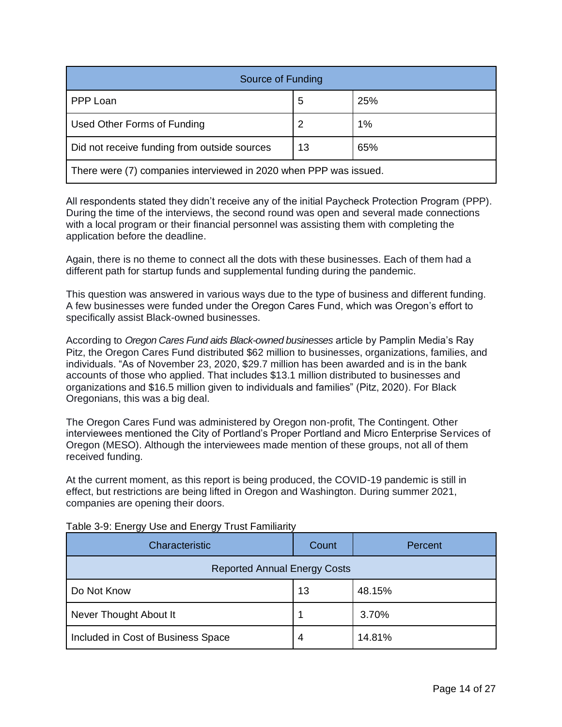| Source of Funding                                                 |    |     |
|-------------------------------------------------------------------|----|-----|
| PPP Loan                                                          | 5  | 25% |
| Used Other Forms of Funding                                       |    | 1%  |
| Did not receive funding from outside sources                      | 13 | 65% |
| There were (7) companies interviewed in 2020 when PPP was issued. |    |     |

All respondents stated they didn't receive any of the initial Paycheck Protection Program (PPP). During the time of the interviews, the second round was open and several made connections with a local program or their financial personnel was assisting them with completing the application before the deadline.

Again, there is no theme to connect all the dots with these businesses. Each of them had a different path for startup funds and supplemental funding during the pandemic.

This question was answered in various ways due to the type of business and different funding. A few businesses were funded under the Oregon Cares Fund, which was Oregon's effort to specifically assist Black-owned businesses.

According to *Oregon Cares Fund aids Black-owned businesses* article by Pamplin Media's Ray Pitz, the Oregon Cares Fund distributed \$62 million to businesses, organizations, families, and individuals. "As of November 23, 2020, \$29.7 million has been awarded and is in the bank accounts of those who applied. That includes \$13.1 million distributed to businesses and organizations and \$16.5 million given to individuals and families" (Pitz, 2020). For Black Oregonians, this was a big deal.

The Oregon Cares Fund was administered by Oregon non-profit, The Contingent. Other interviewees mentioned the City of Portland's Proper Portland and Micro Enterprise Services of Oregon (MESO). Although the interviewees made mention of these groups, not all of them received funding.

At the current moment, as this report is being produced, the COVID-19 pandemic is still in effect, but restrictions are being lifted in Oregon and Washington. During summer 2021, companies are opening their doors.

| <b>Characteristic</b>               | Count | Percent |
|-------------------------------------|-------|---------|
| <b>Reported Annual Energy Costs</b> |       |         |
| Do Not Know                         | 13    | 48.15%  |
| Never Thought About It              |       | 3.70%   |
| Included in Cost of Business Space  | 4     | 14.81%  |

Table 3-9: Energy Use and Energy Trust Familiarity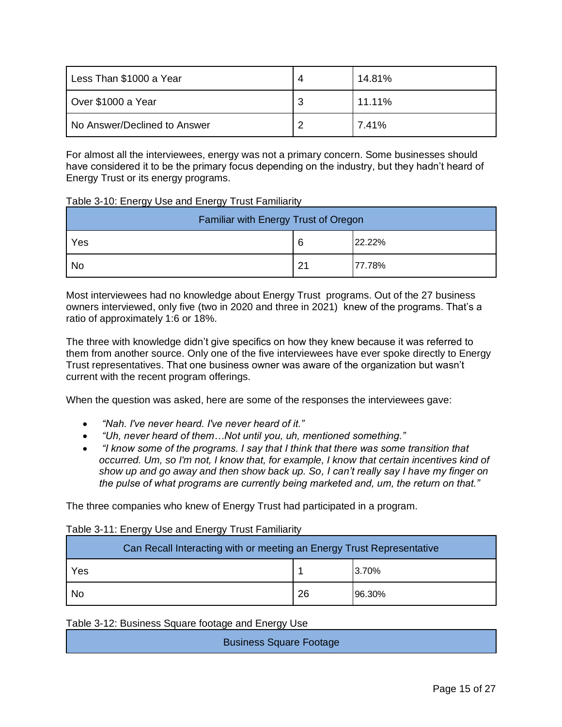| Less Than \$1000 a Year      | 4 | 14.81% |
|------------------------------|---|--------|
| Over \$1000 a Year           | 3 | 11.11% |
| No Answer/Declined to Answer | っ | 7.41%  |

For almost all the interviewees, energy was not a primary concern. Some businesses should have considered it to be the primary focus depending on the industry, but they hadn't heard of Energy Trust or its energy programs.

#### Table 3-10: Energy Use and Energy Trust Familiarity

| Familiar with Energy Trust of Oregon |    |        |
|--------------------------------------|----|--------|
| Yes                                  | 6  | 22.22% |
| No                                   | 21 | 77.78% |

Most interviewees had no knowledge about Energy Trust programs. Out of the 27 business owners interviewed, only five (two in 2020 and three in 2021) knew of the programs. That's a ratio of approximately 1:6 or 18%.

The three with knowledge didn't give specifics on how they knew because it was referred to them from another source. Only one of the five interviewees have ever spoke directly to Energy Trust representatives. That one business owner was aware of the organization but wasn't current with the recent program offerings.

When the question was asked, here are some of the responses the interviewees gave:

- *"Nah. I've never heard. I've never heard of it."*
- *"Uh, never heard of them…Not until you, uh, mentioned something."*
- *"I know some of the programs. I say that I think that there was some transition that occurred. Um, so I'm not, I know that, for example, I know that certain incentives kind of show up and go away and then show back up. So, I can't really say I have my finger on the pulse of what programs are currently being marketed and, um, the return on that."*

The three companies who knew of Energy Trust had participated in a program.

#### Table 3-11: Energy Use and Energy Trust Familiarity

| Can Recall Interacting with or meeting an Energy Trust Representative |    |        |
|-----------------------------------------------------------------------|----|--------|
| Yes                                                                   |    | 3.70%  |
| No                                                                    | 26 | 96.30% |

Table 3-12: Business Square footage and Energy Use

Business Square Footage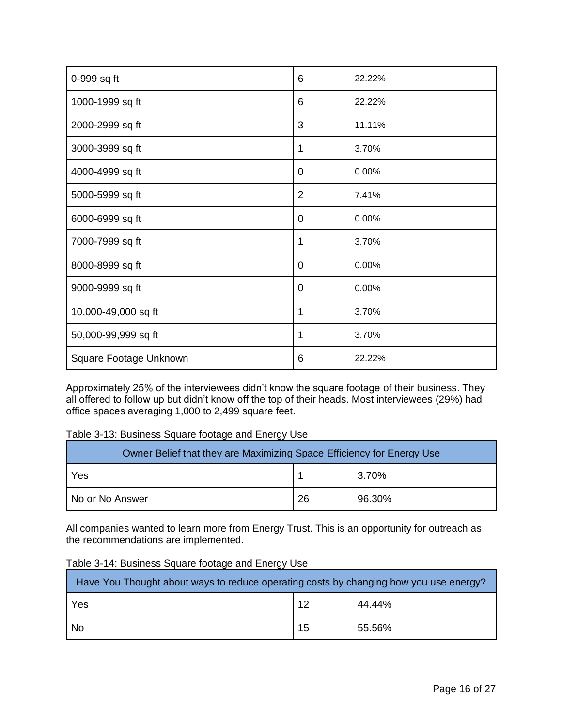| 0-999 sq ft            | 6              | 22.22% |
|------------------------|----------------|--------|
| 1000-1999 sq ft        | 6              | 22.22% |
| 2000-2999 sq ft        | 3              | 11.11% |
| 3000-3999 sq ft        | 1              | 3.70%  |
| 4000-4999 sq ft        | 0              | 0.00%  |
| 5000-5999 sq ft        | $\overline{2}$ | 7.41%  |
| 6000-6999 sq ft        | 0              | 0.00%  |
| 7000-7999 sq ft        | 1              | 3.70%  |
| 8000-8999 sq ft        | $\overline{0}$ | 0.00%  |
| 9000-9999 sq ft        | $\overline{0}$ | 0.00%  |
| 10,000-49,000 sq ft    | 1              | 3.70%  |
| 50,000-99,999 sq ft    | 1              | 3.70%  |
| Square Footage Unknown | 6              | 22.22% |

Approximately 25% of the interviewees didn't know the square footage of their business. They all offered to follow up but didn't know off the top of their heads. Most interviewees (29%) had office spaces averaging 1,000 to 2,499 square feet.

### Table 3-13: Business Square footage and Energy Use

| Owner Belief that they are Maximizing Space Efficiency for Energy Use |    |        |
|-----------------------------------------------------------------------|----|--------|
| Yes                                                                   |    | 3.70%  |
| No or No Answer                                                       | 26 | 96.30% |

All companies wanted to learn more from Energy Trust. This is an opportunity for outreach as the recommendations are implemented.

| Have You Thought about ways to reduce operating costs by changing how you use energy? |    |        |
|---------------------------------------------------------------------------------------|----|--------|
| Yes                                                                                   | 12 | 44.44% |
| <b>No</b>                                                                             | 15 | 55.56% |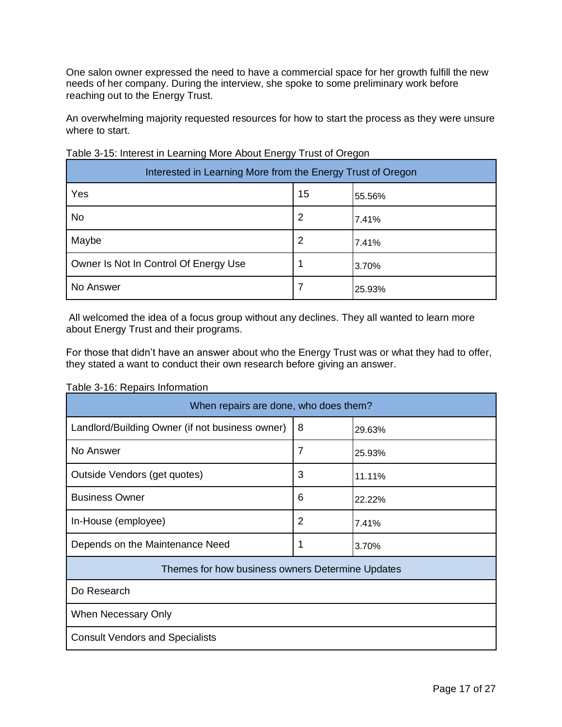One salon owner expressed the need to have a commercial space for her growth fulfill the new needs of her company. During the interview, she spoke to some preliminary work before reaching out to the Energy Trust.

An overwhelming majority requested resources for how to start the process as they were unsure where to start.

| Interested in Learning More from the Energy Trust of Oregon |    |        |
|-------------------------------------------------------------|----|--------|
| Yes                                                         | 15 | 55.56% |
| No                                                          | 2  | 7.41%  |
| Maybe                                                       | 2  | 7.41%  |
| Owner Is Not In Control Of Energy Use                       |    | 3.70%  |
| No Answer                                                   |    | 25.93% |

Table 3-15: Interest in Learning More About Energy Trust of Oregon

All welcomed the idea of a focus group without any declines. They all wanted to learn more about Energy Trust and their programs.

For those that didn't have an answer about who the Energy Trust was or what they had to offer, they stated a want to conduct their own research before giving an answer.

Table 3-16: Repairs Information

| When repairs are done, who does them?            |   |        |
|--------------------------------------------------|---|--------|
| Landlord/Building Owner (if not business owner)  | 8 | 29.63% |
| No Answer                                        | 7 | 25.93% |
| Outside Vendors (get quotes)                     | 3 | 11.11% |
| <b>Business Owner</b>                            | 6 | 22.22% |
| In-House (employee)                              | 2 | 7.41%  |
| Depends on the Maintenance Need                  |   | 3.70%  |
| Themes for how business owners Determine Updates |   |        |
| Do Research                                      |   |        |
| When Necessary Only                              |   |        |
| <b>Consult Vendors and Specialists</b>           |   |        |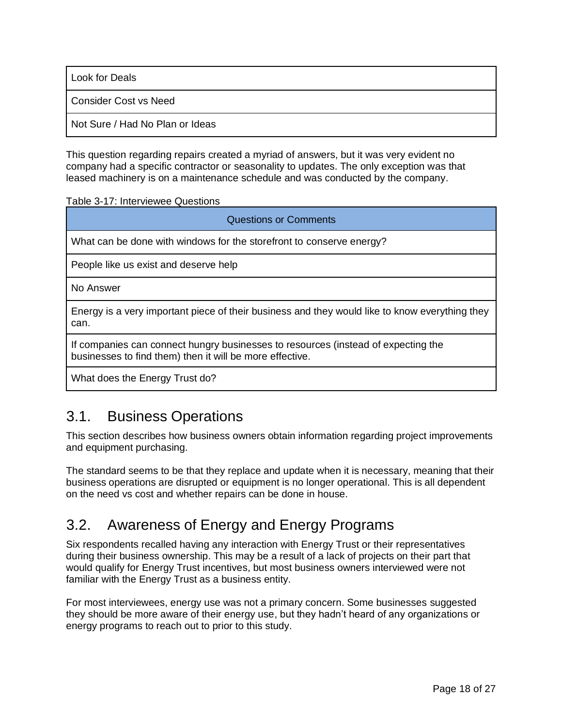Look for Deals

Consider Cost vs Need

Not Sure / Had No Plan or Ideas

This question regarding repairs created a myriad of answers, but it was very evident no company had a specific contractor or seasonality to updates. The only exception was that leased machinery is on a maintenance schedule and was conducted by the company.

Table 3-17: Interviewee Questions

| <b>Questions or Comments</b>                                                                                                                  |  |  |
|-----------------------------------------------------------------------------------------------------------------------------------------------|--|--|
| What can be done with windows for the storefront to conserve energy?                                                                          |  |  |
| People like us exist and deserve help                                                                                                         |  |  |
| No Answer                                                                                                                                     |  |  |
| Energy is a very important piece of their business and they would like to know everything they<br>can.                                        |  |  |
| If companies can connect hungry businesses to resources (instead of expecting the<br>businesses to find them) then it will be more effective. |  |  |
| What does the Energy Trust do?                                                                                                                |  |  |

### 3.1. Business Operations

This section describes how business owners obtain information regarding project improvements and equipment purchasing.

The standard seems to be that they replace and update when it is necessary, meaning that their business operations are disrupted or equipment is no longer operational. This is all dependent on the need vs cost and whether repairs can be done in house.

# 3.2. Awareness of Energy and Energy Programs

Six respondents recalled having any interaction with Energy Trust or their representatives during their business ownership. This may be a result of a lack of projects on their part that would qualify for Energy Trust incentives, but most business owners interviewed were not familiar with the Energy Trust as a business entity.

For most interviewees, energy use was not a primary concern. Some businesses suggested they should be more aware of their energy use, but they hadn't heard of any organizations or energy programs to reach out to prior to this study.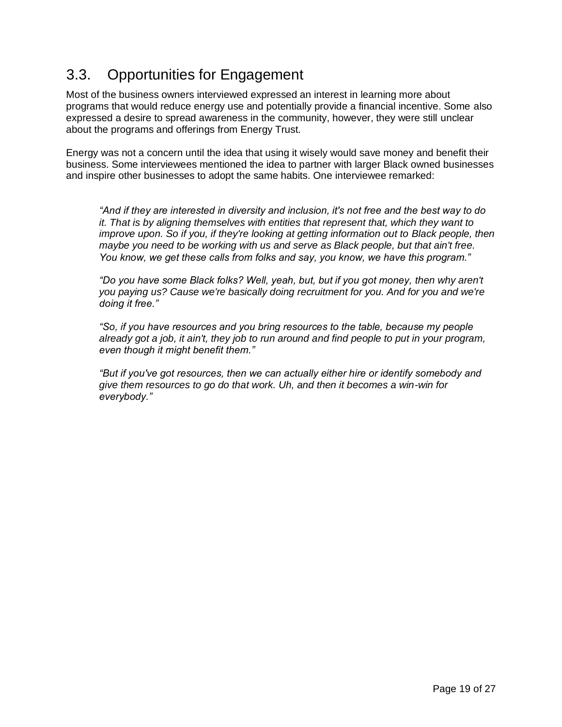# 3.3. Opportunities for Engagement

Most of the business owners interviewed expressed an interest in learning more about programs that would reduce energy use and potentially provide a financial incentive. Some also expressed a desire to spread awareness in the community, however, they were still unclear about the programs and offerings from Energy Trust.

Energy was not a concern until the idea that using it wisely would save money and benefit their business. Some interviewees mentioned the idea to partner with larger Black owned businesses and inspire other businesses to adopt the same habits. One interviewee remarked:

*"And if they are interested in diversity and inclusion, it's not free and the best way to do it. That is by aligning themselves with entities that represent that, which they want to improve upon. So if you, if they're looking at getting information out to Black people, then maybe you need to be working with us and serve as Black people, but that ain't free. You know, we get these calls from folks and say, you know, we have this program."*

*"Do you have some Black folks? Well, yeah, but, but if you got money, then why aren't you paying us? Cause we're basically doing recruitment for you. And for you and we're doing it free."*

*"So, if you have resources and you bring resources to the table, because my people already got a job, it ain't, they job to run around and find people to put in your program, even though it might benefit them."*

*"But if you've got resources, then we can actually either hire or identify somebody and give them resources to go do that work. Uh, and then it becomes a win-win for everybody."*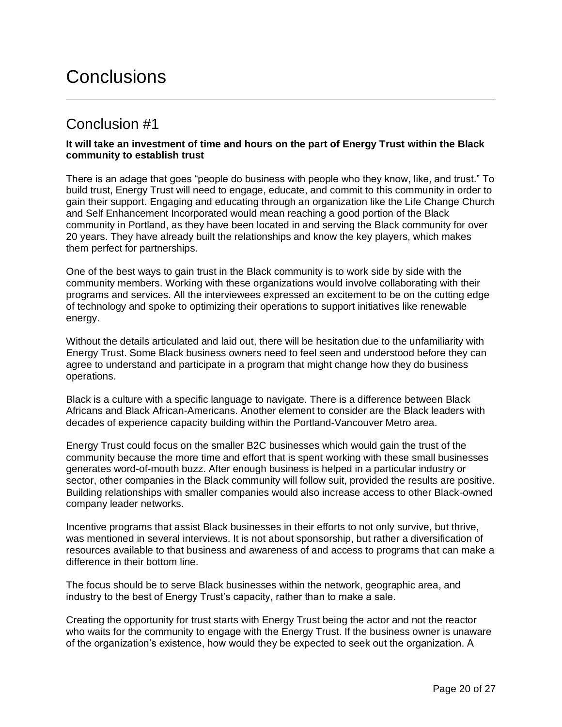# Conclusions

### Conclusion #1

### **It will take an investment of time and hours on the part of Energy Trust within the Black community to establish trust**

There is an adage that goes "people do business with people who they know, like, and trust." To build trust, Energy Trust will need to engage, educate, and commit to this community in order to gain their support. Engaging and educating through an organization like the Life Change Church and Self Enhancement Incorporated would mean reaching a good portion of the Black community in Portland, as they have been located in and serving the Black community for over 20 years. They have already built the relationships and know the key players, which makes them perfect for partnerships.

One of the best ways to gain trust in the Black community is to work side by side with the community members. Working with these organizations would involve collaborating with their programs and services. All the interviewees expressed an excitement to be on the cutting edge of technology and spoke to optimizing their operations to support initiatives like renewable energy.

Without the details articulated and laid out, there will be hesitation due to the unfamiliarity with Energy Trust. Some Black business owners need to feel seen and understood before they can agree to understand and participate in a program that might change how they do business operations.

Black is a culture with a specific language to navigate. There is a difference between Black Africans and Black African-Americans. Another element to consider are the Black leaders with decades of experience capacity building within the Portland-Vancouver Metro area.

Energy Trust could focus on the smaller B2C businesses which would gain the trust of the community because the more time and effort that is spent working with these small businesses generates word-of-mouth buzz. After enough business is helped in a particular industry or sector, other companies in the Black community will follow suit, provided the results are positive. Building relationships with smaller companies would also increase access to other Black-owned company leader networks.

Incentive programs that assist Black businesses in their efforts to not only survive, but thrive, was mentioned in several interviews. It is not about sponsorship, but rather a diversification of resources available to that business and awareness of and access to programs that can make a difference in their bottom line.

The focus should be to serve Black businesses within the network, geographic area, and industry to the best of Energy Trust's capacity, rather than to make a sale.

Creating the opportunity for trust starts with Energy Trust being the actor and not the reactor who waits for the community to engage with the Energy Trust. If the business owner is unaware of the organization's existence, how would they be expected to seek out the organization. A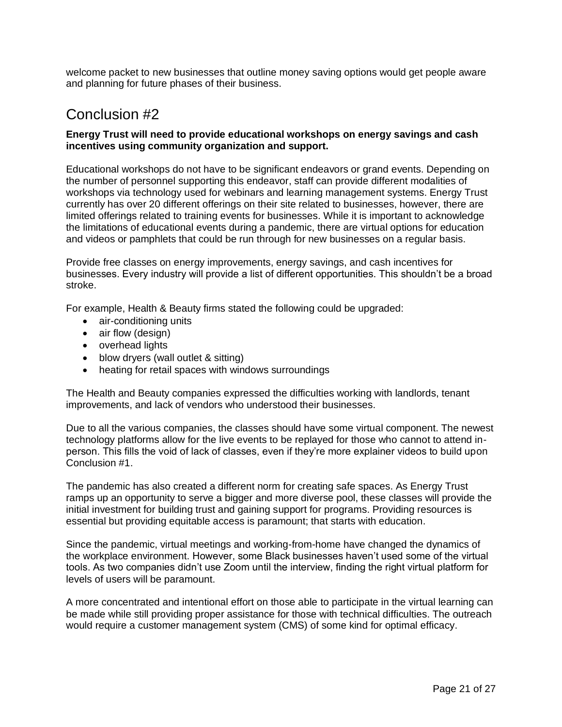welcome packet to new businesses that outline money saving options would get people aware and planning for future phases of their business.

### Conclusion #2

#### **Energy Trust will need to provide educational workshops on energy savings and cash incentives using community organization and support.**

Educational workshops do not have to be significant endeavors or grand events. Depending on the number of personnel supporting this endeavor, staff can provide different modalities of workshops via technology used for webinars and learning management systems. Energy Trust currently has over 20 different offerings on their site related to businesses, however, there are limited offerings related to training events for businesses. While it is important to acknowledge the limitations of educational events during a pandemic, there are virtual options for education and videos or pamphlets that could be run through for new businesses on a regular basis.

Provide free classes on energy improvements, energy savings, and cash incentives for businesses. Every industry will provide a list of different opportunities. This shouldn't be a broad stroke.

For example, Health & Beauty firms stated the following could be upgraded:

- air-conditioning units
- air flow (design)
- overhead lights
- blow dryers (wall outlet & sitting)
- heating for retail spaces with windows surroundings

The Health and Beauty companies expressed the difficulties working with landlords, tenant improvements, and lack of vendors who understood their businesses.

Due to all the various companies, the classes should have some virtual component. The newest technology platforms allow for the live events to be replayed for those who cannot to attend inperson. This fills the void of lack of classes, even if they're more explainer videos to build upon Conclusion #1.

The pandemic has also created a different norm for creating safe spaces. As Energy Trust ramps up an opportunity to serve a bigger and more diverse pool, these classes will provide the initial investment for building trust and gaining support for programs. Providing resources is essential but providing equitable access is paramount; that starts with education.

Since the pandemic, virtual meetings and working-from-home have changed the dynamics of the workplace environment. However, some Black businesses haven't used some of the virtual tools. As two companies didn't use Zoom until the interview, finding the right virtual platform for levels of users will be paramount.

A more concentrated and intentional effort on those able to participate in the virtual learning can be made while still providing proper assistance for those with technical difficulties. The outreach would require a customer management system (CMS) of some kind for optimal efficacy.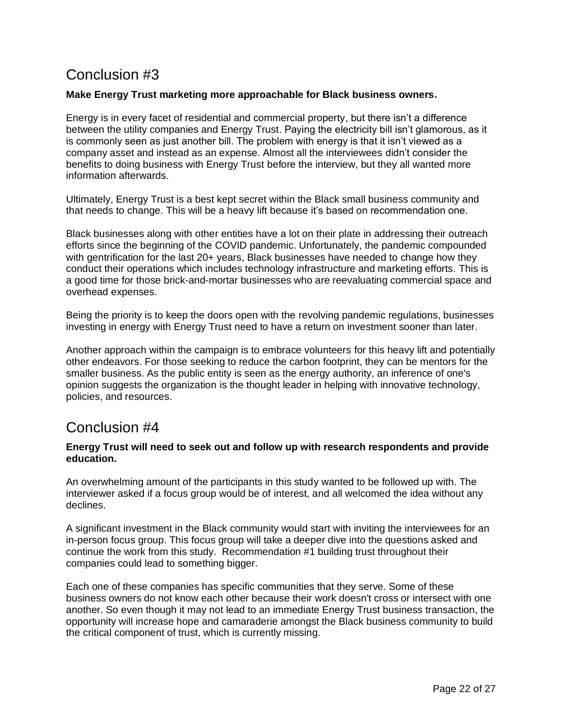# Conclusion #3

### **Make Energy Trust marketing more approachable for Black business owners.**

Energy is in every facet of residential and commercial property, but there isn't a difference between the utility companies and Energy Trust. Paying the electricity bill isn't glamorous, as it is commonly seen as just another bill. The problem with energy is that it isn't viewed as a company asset and instead as an expense. Almost all the interviewees didn't consider the benefits to doing business with Energy Trust before the interview, but they all wanted more information afterwards.

Ultimately, Energy Trust is a best kept secret within the Black small business community and that needs to change. This will be a heavy lift because it's based on recommendation one.

Black businesses along with other entities have a lot on their plate in addressing their outreach efforts since the beginning of the COVID pandemic. Unfortunately, the pandemic compounded with gentrification for the last 20+ years, Black businesses have needed to change how they conduct their operations which includes technology infrastructure and marketing efforts. This is a good time for those brick-and-mortar businesses who are reevaluating commercial space and overhead expenses.

Being the priority is to keep the doors open with the revolving pandemic regulations, businesses investing in energy with Energy Trust need to have a return on investment sooner than later.

Another approach within the campaign is to embrace volunteers for this heavy lift and potentially other endeavors. For those seeking to reduce the carbon footprint, they can be mentors for the smaller business. As the public entity is seen as the energy authority, an inference of one's opinion suggests the organization is the thought leader in helping with innovative technology, policies, and resources.

### Conclusion #4

### **Energy Trust will need to seek out and follow up with research respondents and provide education.**

An overwhelming amount of the participants in this study wanted to be followed up with. The interviewer asked if a focus group would be of interest, and all welcomed the idea without any declines.

A significant investment in the Black community would start with inviting the interviewees for an in-person focus group. This focus group will take a deeper dive into the questions asked and continue the work from this study. Recommendation #1 building trust throughout their companies could lead to something bigger.

Each one of these companies has specific communities that they serve. Some of these business owners do not know each other because their work doesn't cross or intersect with one another. So even though it may not lead to an immediate Energy Trust business transaction, the opportunity will increase hope and camaraderie amongst the Black business community to build the critical component of trust, which is currently missing.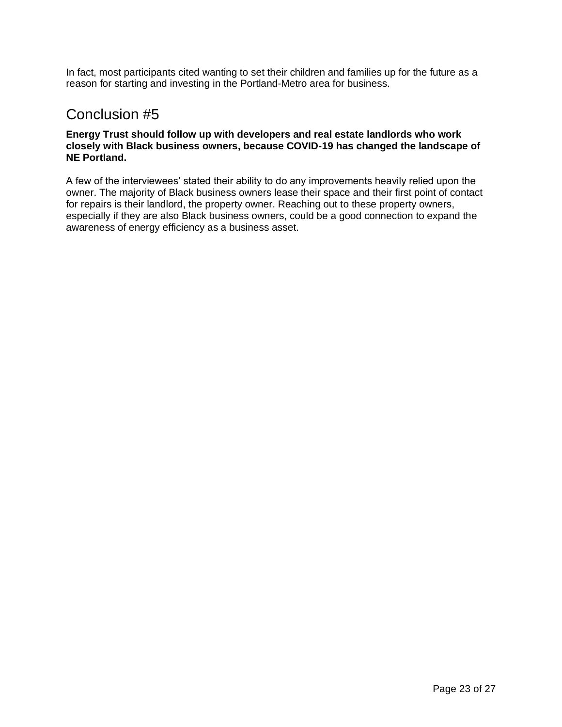In fact, most participants cited wanting to set their children and families up for the future as a reason for starting and investing in the Portland-Metro area for business.

### Conclusion #5

### **Energy Trust should follow up with developers and real estate landlords who work closely with Black business owners, because COVID-19 has changed the landscape of NE Portland.**

A few of the interviewees' stated their ability to do any improvements heavily relied upon the owner. The majority of Black business owners lease their space and their first point of contact for repairs is their landlord, the property owner. Reaching out to these property owners, especially if they are also Black business owners, could be a good connection to expand the awareness of energy efficiency as a business asset.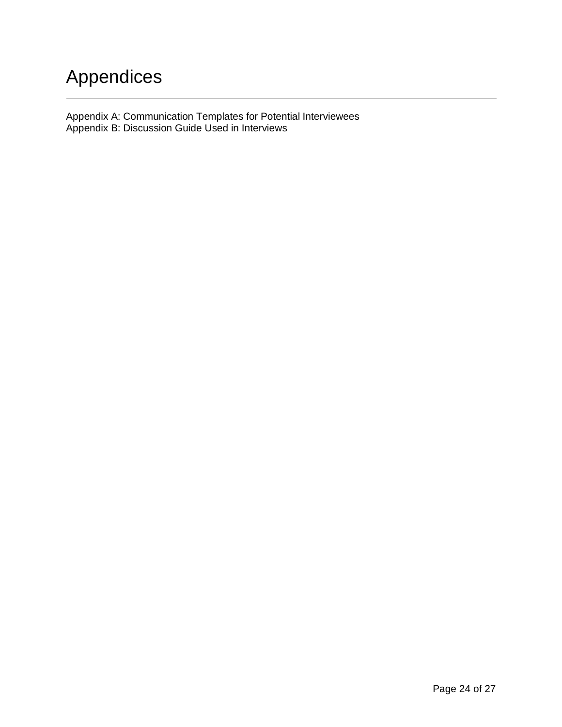# Appendices

Appendix A: Communication Templates for Potential Interviewees Appendix B: Discussion Guide Used in Interviews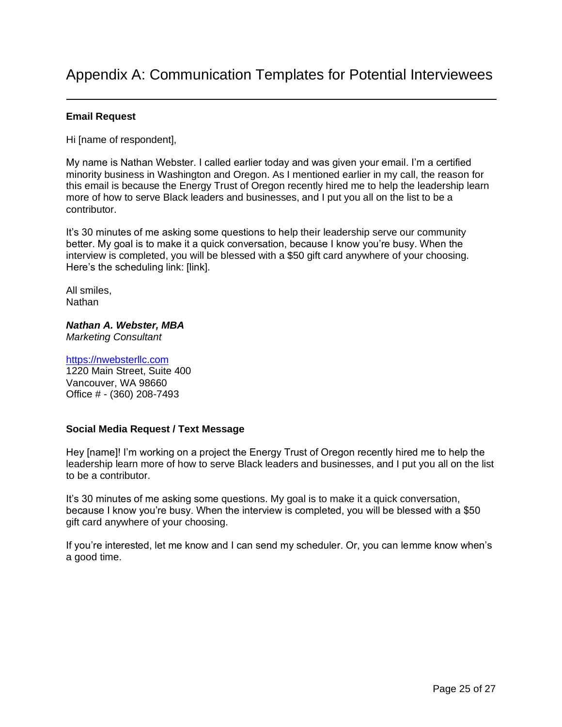### **Email Request**

Hi [name of respondent],

My name is Nathan Webster. I called earlier today and was given your email. I'm a certified minority business in Washington and Oregon. As I mentioned earlier in my call, the reason for this email is because the Energy Trust of Oregon recently hired me to help the leadership learn more of how to serve Black leaders and businesses, and I put you all on the list to be a contributor.

It's 30 minutes of me asking some questions to help their leadership serve our community better. My goal is to make it a quick conversation, because I know you're busy. When the interview is completed, you will be blessed with a \$50 gift card anywhere of your choosing. Here's the scheduling link: [link].

All smiles, **Nathan** 

*Nathan A. Webster, MBA Marketing Consultant*

[https://nwebsterllc.com](https://nwebsterllc.com/) 1220 Main Street, Suite 400 Vancouver, WA 98660 Office # - (360) 208-7493

### **Social Media Request / Text Message**

Hey [name]! I'm working on a project the Energy Trust of Oregon recently hired me to help the leadership learn more of how to serve Black leaders and businesses, and I put you all on the list to be a contributor.

It's 30 minutes of me asking some questions. My goal is to make it a quick conversation, because I know you're busy. When the interview is completed, you will be blessed with a \$50 gift card anywhere of your choosing.

If you're interested, let me know and I can send my scheduler. Or, you can lemme know when's a good time.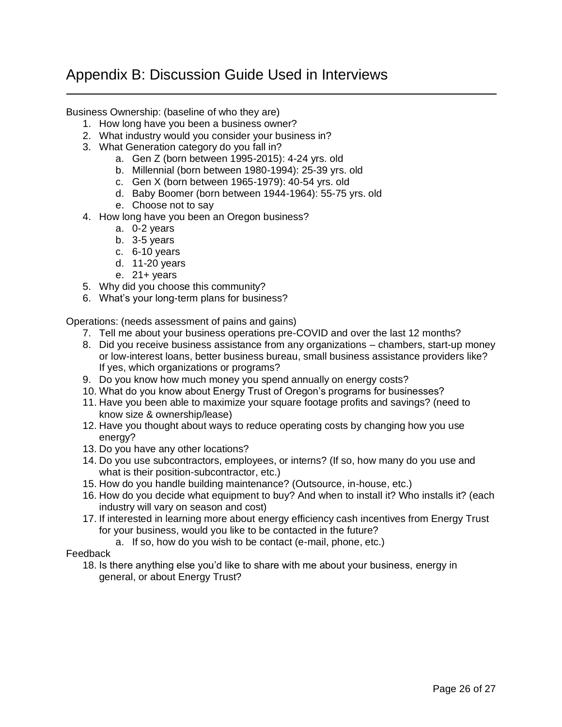# Appendix B: Discussion Guide Used in Interviews

Business Ownership: (baseline of who they are)

- 1. How long have you been a business owner?
- 2. What industry would you consider your business in?
- 3. What Generation category do you fall in?
	- a. Gen Z (born between 1995-2015): 4-24 yrs. old
	- b. Millennial (born between 1980-1994): 25-39 yrs. old
	- c. Gen X (born between 1965-1979): 40-54 yrs. old
	- d. Baby Boomer (born between 1944-1964): 55-75 yrs. old
	- e. Choose not to say
- 4. How long have you been an Oregon business?
	- a. 0-2 years
	- b. 3-5 years
	- c. 6-10 years
	- d. 11-20 years
	- e.  $21 + \text{years}$
- 5. Why did you choose this community?
- 6. What's your long-term plans for business?

Operations: (needs assessment of pains and gains)

- 7. Tell me about your business operations pre-COVID and over the last 12 months?
- 8. Did you receive business assistance from any organizations chambers, start-up money or low-interest loans, better business bureau, small business assistance providers like? If yes, which organizations or programs?
- 9. Do you know how much money you spend annually on energy costs?
- 10. What do you know about Energy Trust of Oregon's programs for businesses?
- 11. Have you been able to maximize your square footage profits and savings? (need to know size & ownership/lease)
- 12. Have you thought about ways to reduce operating costs by changing how you use energy?
- 13. Do you have any other locations?
- 14. Do you use subcontractors, employees, or interns? (If so, how many do you use and what is their position-subcontractor, etc.)
- 15. How do you handle building maintenance? (Outsource, in-house, etc.)
- 16. How do you decide what equipment to buy? And when to install it? Who installs it? (each industry will vary on season and cost)
- 17. If interested in learning more about energy efficiency cash incentives from Energy Trust for your business, would you like to be contacted in the future?
	- a. If so, how do you wish to be contact (e-mail, phone, etc.)

#### Feedback

18. Is there anything else you'd like to share with me about your business, energy in general, or about Energy Trust?